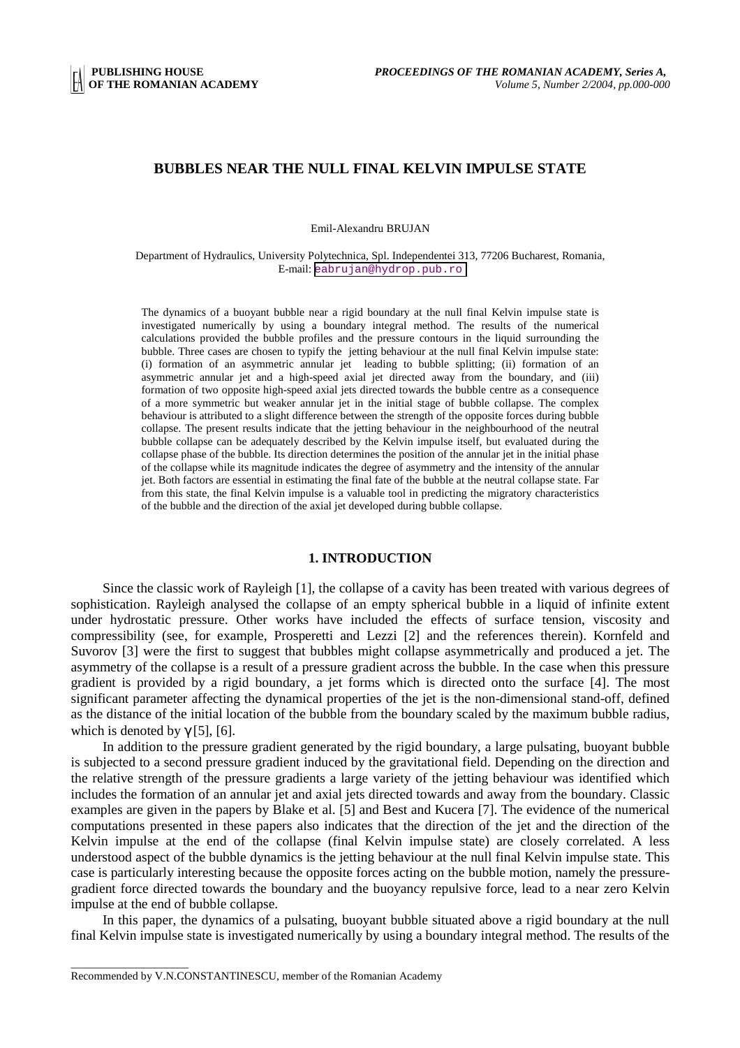## **BUBBLES NEAR THE NULL FINAL KELVIN IMPULSE STATE**

Emil-Alexandru BRUJAN

Department of Hydraulics, University Polytechnica, Spl. Independentei 313, 77206 Bucharest, Romania, E-mail: [eabrujan@hydrop.pub.ro](mailto:eabrujan@hydrop.pub.ro)

The dynamics of a buoyant bubble near a rigid boundary at the null final Kelvin impulse state is investigated numerically by using a boundary integral method. The results of the numerical calculations provided the bubble profiles and the pressure contours in the liquid surrounding the bubble. Three cases are chosen to typify the jetting behaviour at the null final Kelvin impulse state: (i) formation of an asymmetric annular jet leading to bubble splitting; (ii) formation of an asymmetric annular jet and a high-speed axial jet directed away from the boundary, and (iii) formation of two opposite high-speed axial jets directed towards the bubble centre as a consequence of a more symmetric but weaker annular jet in the initial stage of bubble collapse. The complex behaviour is attributed to a slight difference between the strength of the opposite forces during bubble collapse. The present results indicate that the jetting behaviour in the neighbourhood of the neutral bubble collapse can be adequately described by the Kelvin impulse itself, but evaluated during the collapse phase of the bubble. Its direction determines the position of the annular jet in the initial phase of the collapse while its magnitude indicates the degree of asymmetry and the intensity of the annular jet. Both factors are essential in estimating the final fate of the bubble at the neutral collapse state. Far from this state, the final Kelvin impulse is a valuable tool in predicting the migratory characteristics of the bubble and the direction of the axial jet developed during bubble collapse.

#### **1. INTRODUCTION**

Since the classic work of Rayleigh [1], the collapse of a cavity has been treated with various degrees of sophistication. Rayleigh analysed the collapse of an empty spherical bubble in a liquid of infinite extent under hydrostatic pressure. Other works have included the effects of surface tension, viscosity and compressibility (see, for example, Prosperetti and Lezzi [2] and the references therein). Kornfeld and Suvorov [3] were the first to suggest that bubbles might collapse asymmetrically and produced a jet. The asymmetry of the collapse is a result of a pressure gradient across the bubble. In the case when this pressure gradient is provided by a rigid boundary, a jet forms which is directed onto the surface [4]. The most significant parameter affecting the dynamical properties of the jet is the non-dimensional stand-off, defined as the distance of the initial location of the bubble from the boundary scaled by the maximum bubble radius, which is denoted by  $\gamma$  [5], [6].

In addition to the pressure gradient generated by the rigid boundary, a large pulsating, buoyant bubble is subjected to a second pressure gradient induced by the gravitational field. Depending on the direction and the relative strength of the pressure gradients a large variety of the jetting behaviour was identified which includes the formation of an annular jet and axial jets directed towards and away from the boundary. Classic examples are given in the papers by Blake et al. [5] and Best and Kucera [7]. The evidence of the numerical computations presented in these papers also indicates that the direction of the jet and the direction of the Kelvin impulse at the end of the collapse (final Kelvin impulse state) are closely correlated. A less understood aspect of the bubble dynamics is the jetting behaviour at the null final Kelvin impulse state. This case is particularly interesting because the opposite forces acting on the bubble motion, namely the pressuregradient force directed towards the boundary and the buoyancy repulsive force, lead to a near zero Kelvin impulse at the end of bubble collapse.

In this paper, the dynamics of a pulsating, buoyant bubble situated above a rigid boundary at the null final Kelvin impulse state is investigated numerically by using a boundary integral method. The results of the

\_\_\_\_\_\_\_\_\_\_\_\_\_\_\_\_\_\_\_\_\_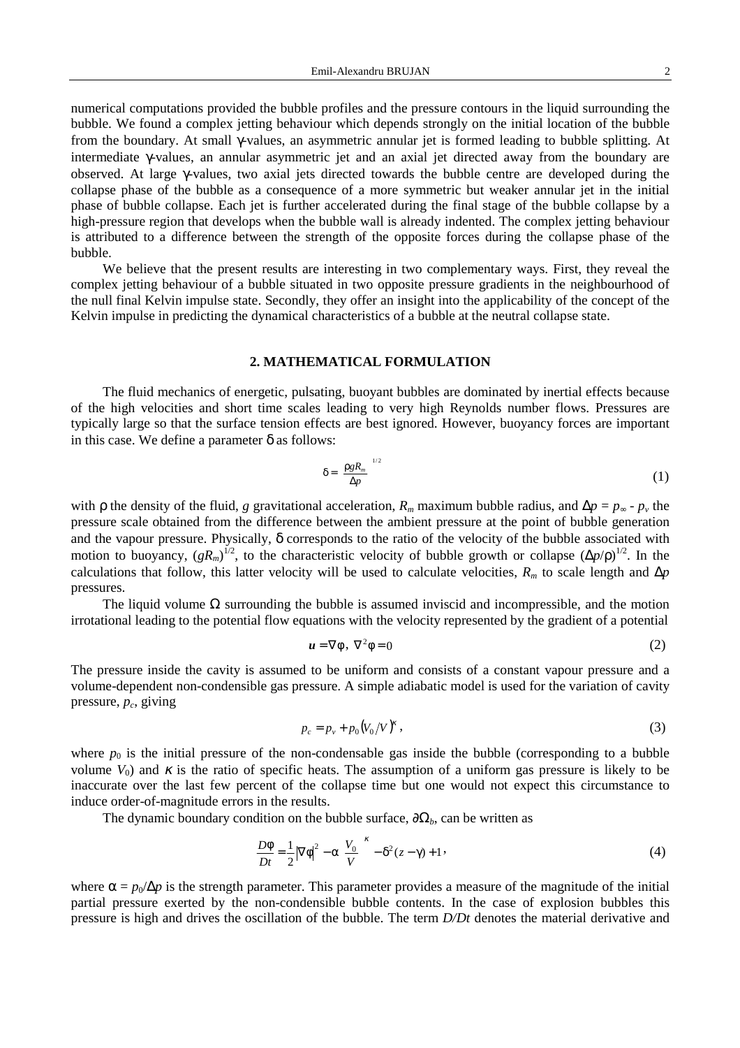numerical computations provided the bubble profiles and the pressure contours in the liquid surrounding the bubble. We found a complex jetting behaviour which depends strongly on the initial location of the bubble from the boundary. At small γ-values, an asymmetric annular jet is formed leading to bubble splitting. At intermediate γ-values, an annular asymmetric jet and an axial jet directed away from the boundary are observed. At large γ-values, two axial jets directed towards the bubble centre are developed during the collapse phase of the bubble as a consequence of a more symmetric but weaker annular jet in the initial phase of bubble collapse. Each jet is further accelerated during the final stage of the bubble collapse by a high-pressure region that develops when the bubble wall is already indented. The complex jetting behaviour is attributed to a difference between the strength of the opposite forces during the collapse phase of the bubble.

We believe that the present results are interesting in two complementary ways. First, they reveal the complex jetting behaviour of a bubble situated in two opposite pressure gradients in the neighbourhood of the null final Kelvin impulse state. Secondly, they offer an insight into the applicability of the concept of the Kelvin impulse in predicting the dynamical characteristics of a bubble at the neutral collapse state.

## **2. MATHEMATICAL FORMULATION**

The fluid mechanics of energetic, pulsating, buoyant bubbles are dominated by inertial effects because of the high velocities and short time scales leading to very high Reynolds number flows. Pressures are typically large so that the surface tension effects are best ignored. However, buoyancy forces are important in this case. We define a parameter  $\delta$  as follows:

$$
\delta = \left(\frac{\rho g R_m}{\Delta p}\right)^{1/2} \tag{1}
$$

with  $\rho$  the density of the fluid, *g* gravitational acceleration,  $R_m$  maximum bubble radius, and  $\Delta p = p_\infty - p_\nu$  the pressure scale obtained from the difference between the ambient pressure at the point of bubble generation and the vapour pressure. Physically, δ corresponds to the ratio of the velocity of the bubble associated with motion to buoyancy,  $(gR_m)^{1/2}$ , to the characteristic velocity of bubble growth or collapse  $(\Delta p/\rho)^{1/2}$ . In the calculations that follow, this latter velocity will be used to calculate velocities,  $R_m$  to scale length and  $\Delta p$ pressures.

The liquid volume  $\Omega$  surrounding the bubble is assumed inviscid and incompressible, and the motion irrotational leading to the potential flow equations with the velocity represented by the gradient of a potential

$$
\mathbf{u} = \nabla \phi \,, \ \nabla^2 \phi = 0 \tag{2}
$$

The pressure inside the cavity is assumed to be uniform and consists of a constant vapour pressure and a volume-dependent non-condensible gas pressure. A simple adiabatic model is used for the variation of cavity pressure,  $p_c$ , giving

$$
p_c = p_v + p_0 (V_0 / V)^{\kappa} \,, \tag{3}
$$

where  $p_0$  is the initial pressure of the non-condensable gas inside the bubble (corresponding to a bubble volume  $V_0$ ) and  $\kappa$  is the ratio of specific heats. The assumption of a uniform gas pressure is likely to be inaccurate over the last few percent of the collapse time but one would not expect this circumstance to induce order-of-magnitude errors in the results.

The dynamic boundary condition on the bubble surface,  $\partial\Omega_b$ , can be written as

$$
\frac{D\phi}{Dt} = \frac{1}{2} |\nabla \phi|^2 - \alpha \left(\frac{V_0}{V}\right)^{\kappa} - \delta^2 (z - \gamma) + 1 \,,\tag{4}
$$

where  $\alpha = p_0/\Delta p$  is the strength parameter. This parameter provides a measure of the magnitude of the initial partial pressure exerted by the non-condensible bubble contents. In the case of explosion bubbles this pressure is high and drives the oscillation of the bubble. The term *D/Dt* denotes the material derivative and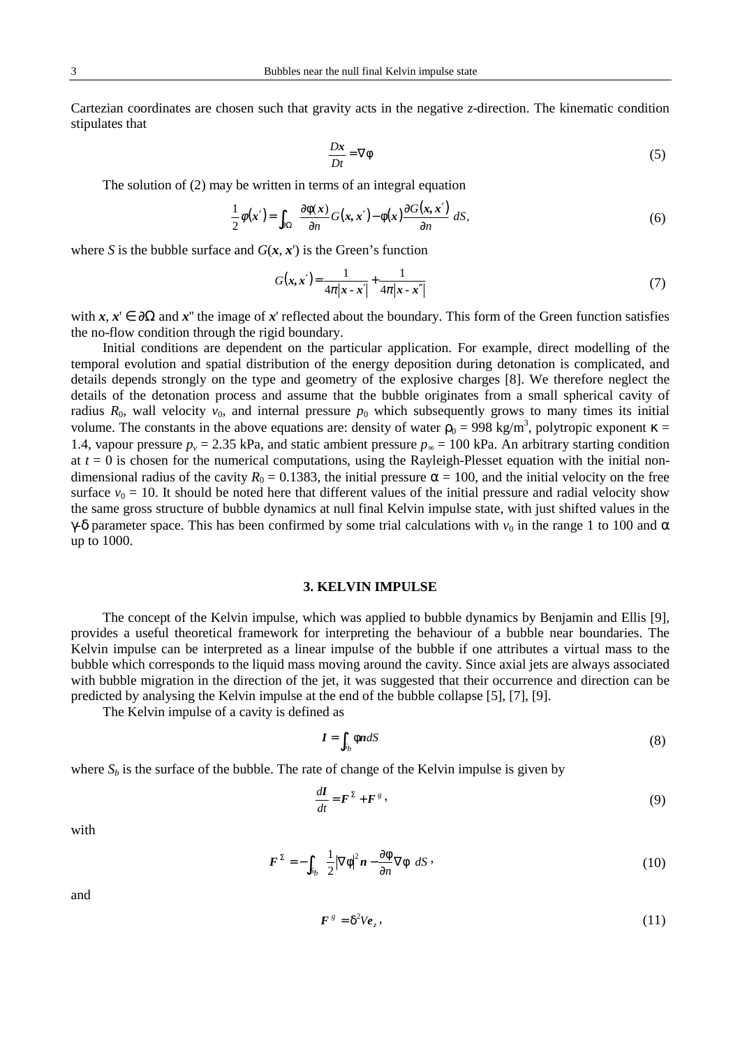Cartezian coordinates are chosen such that gravity acts in the negative *z*-direction. The kinematic condition stipulates that

$$
\frac{Dx}{Dt} = \nabla \phi \tag{5}
$$

The solution of (2) may be written in terms of an integral equation

$$
\frac{1}{2}\phi(x') = \int_{\partial\Omega} \left( \frac{\partial \phi(x)}{\partial n} G(x, x') - \phi(x) \frac{\partial G(x, x')}{\partial n} \right) dS,
$$
\n(6)

where *S* is the bubble surface and  $G(x, x')$  is the Green's function

$$
G(x, x') = \frac{1}{4\pi|x - x'|} + \frac{1}{4\pi|x - x''|}
$$
\n(7)

with  $x, x' \in \partial\Omega$  and  $x''$  the image of  $x'$  reflected about the boundary. This form of the Green function satisfies the no-flow condition through the rigid boundary.

Initial conditions are dependent on the particular application. For example, direct modelling of the temporal evolution and spatial distribution of the energy deposition during detonation is complicated, and details depends strongly on the type and geometry of the explosive charges [8]. We therefore neglect the details of the detonation process and assume that the bubble originates from a small spherical cavity of radius  $R_0$ , wall velocity  $v_0$ , and internal pressure  $p_0$  which subsequently grows to many times its initial volume. The constants in the above equations are: density of water  $\rho_0 = 998 \text{ kg/m}^3$ , polytropic exponent  $\kappa =$ 1.4, vapour pressure  $p_v = 2.35$  kPa, and static ambient pressure  $p_\infty = 100$  kPa. An arbitrary starting condition at  $t = 0$  is chosen for the numerical computations, using the Rayleigh-Plesset equation with the initial nondimensional radius of the cavity  $R_0 = 0.1383$ , the initial pressure  $\alpha = 100$ , and the initial velocity on the free surface  $v_0 = 10$ . It should be noted here that different values of the initial pressure and radial velocity show the same gross structure of bubble dynamics at null final Kelvin impulse state, with just shifted values in the γ-δ parameter space. This has been confirmed by some trial calculations with  $v_0$  in the range 1 to 100 and α up to 1000.

### **3. KELVIN IMPULSE**

The concept of the Kelvin impulse, which was applied to bubble dynamics by Benjamin and Ellis [9], provides a useful theoretical framework for interpreting the behaviour of a bubble near boundaries. The Kelvin impulse can be interpreted as a linear impulse of the bubble if one attributes a virtual mass to the bubble which corresponds to the liquid mass moving around the cavity. Since axial jets are always associated with bubble migration in the direction of the jet, it was suggested that their occurrence and direction can be predicted by analysing the Kelvin impulse at the end of the bubble collapse [5], [7], [9].

The Kelvin impulse of a cavity is defined as

$$
I = \int_{S_b} \phi n \, dS \tag{8}
$$

where  $S_b$  is the surface of the bubble. The rate of change of the Kelvin impulse is given by

$$
\frac{d\mathbf{I}}{dt} = \mathbf{F}^{\Sigma} + \mathbf{F}^{g} \,,\tag{9}
$$

with

$$
\boldsymbol{F}^{\Sigma} = -\int_{S_b} \left\{ \frac{1}{2} |\nabla \phi|^2 \boldsymbol{n} - \frac{\partial \phi}{\partial n} \nabla \phi \right\} dS \,, \tag{10}
$$

and

$$
\boldsymbol{F}^{\,g} = \delta^2 V \boldsymbol{e}_z \,, \tag{11}
$$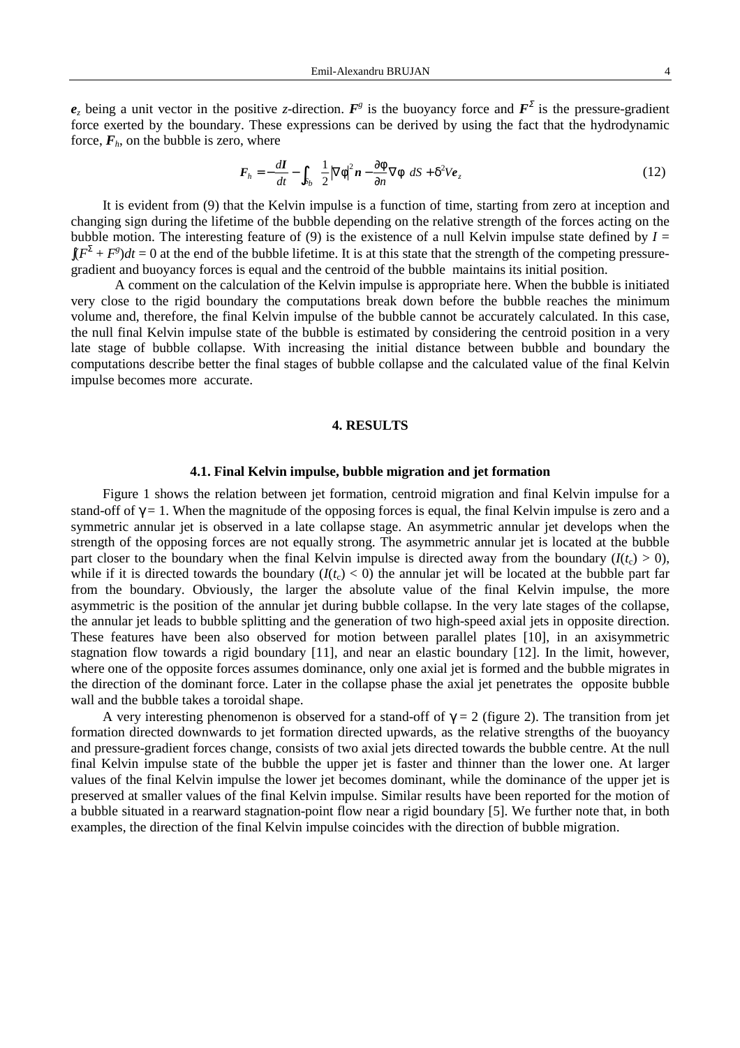$e_z$  being a unit vector in the positive *z*-direction.  $F^g$  is the buoyancy force and  $F^{\Sigma}$  is the pressure-gradient force exerted by the boundary. These expressions can be derived by using the fact that the hydrodynamic force,  $F_h$ , on the bubble is zero, where

$$
\boldsymbol{F}_h = -\frac{d\boldsymbol{I}}{dt} - \int_{S_b} \left\{ \frac{1}{2} |\nabla \phi|^2 \boldsymbol{n} - \frac{\partial \phi}{\partial n} \nabla \phi \right\} dS + \delta^2 V \boldsymbol{e}_z \tag{12}
$$

It is evident from (9) that the Kelvin impulse is a function of time, starting from zero at inception and changing sign during the lifetime of the bubble depending on the relative strength of the forces acting on the bubble motion. The interesting feature of (9) is the existence of a null Kelvin impulse state defined by  $I =$  $\int (F^{\Sigma} + F^{\sigma}) dt = 0$  at the end of the bubble lifetime. It is at this state that the strength of the competing pressuregradient and buoyancy forces is equal and the centroid of the bubble maintains its initial position.

A comment on the calculation of the Kelvin impulse is appropriate here. When the bubble is initiated very close to the rigid boundary the computations break down before the bubble reaches the minimum volume and, therefore, the final Kelvin impulse of the bubble cannot be accurately calculated. In this case, the null final Kelvin impulse state of the bubble is estimated by considering the centroid position in a very late stage of bubble collapse. With increasing the initial distance between bubble and boundary the computations describe better the final stages of bubble collapse and the calculated value of the final Kelvin impulse becomes more accurate.

#### **4. RESULTS**

#### **4.1. Final Kelvin impulse, bubble migration and jet formation**

Figure 1 shows the relation between jet formation, centroid migration and final Kelvin impulse for a stand-off of  $\gamma = 1$ . When the magnitude of the opposing forces is equal, the final Kelvin impulse is zero and a symmetric annular jet is observed in a late collapse stage. An asymmetric annular jet develops when the strength of the opposing forces are not equally strong. The asymmetric annular jet is located at the bubble part closer to the boundary when the final Kelvin impulse is directed away from the boundary  $(I(t_c) > 0)$ , while if it is directed towards the boundary  $(I(t_c) < 0)$  the annular jet will be located at the bubble part far from the boundary. Obviously, the larger the absolute value of the final Kelvin impulse, the more asymmetric is the position of the annular jet during bubble collapse. In the very late stages of the collapse, the annular jet leads to bubble splitting and the generation of two high-speed axial jets in opposite direction. These features have been also observed for motion between parallel plates [10], in an axisymmetric stagnation flow towards a rigid boundary [11], and near an elastic boundary [12]. In the limit, however, where one of the opposite forces assumes dominance, only one axial jet is formed and the bubble migrates in the direction of the dominant force. Later in the collapse phase the axial jet penetrates the opposite bubble wall and the bubble takes a toroidal shape.

A very interesting phenomenon is observed for a stand-off of  $\gamma = 2$  (figure 2). The transition from jet formation directed downwards to jet formation directed upwards, as the relative strengths of the buoyancy and pressure-gradient forces change, consists of two axial jets directed towards the bubble centre. At the null final Kelvin impulse state of the bubble the upper jet is faster and thinner than the lower one. At larger values of the final Kelvin impulse the lower jet becomes dominant, while the dominance of the upper jet is preserved at smaller values of the final Kelvin impulse. Similar results have been reported for the motion of a bubble situated in a rearward stagnation-point flow near a rigid boundary [5]. We further note that, in both examples, the direction of the final Kelvin impulse coincides with the direction of bubble migration.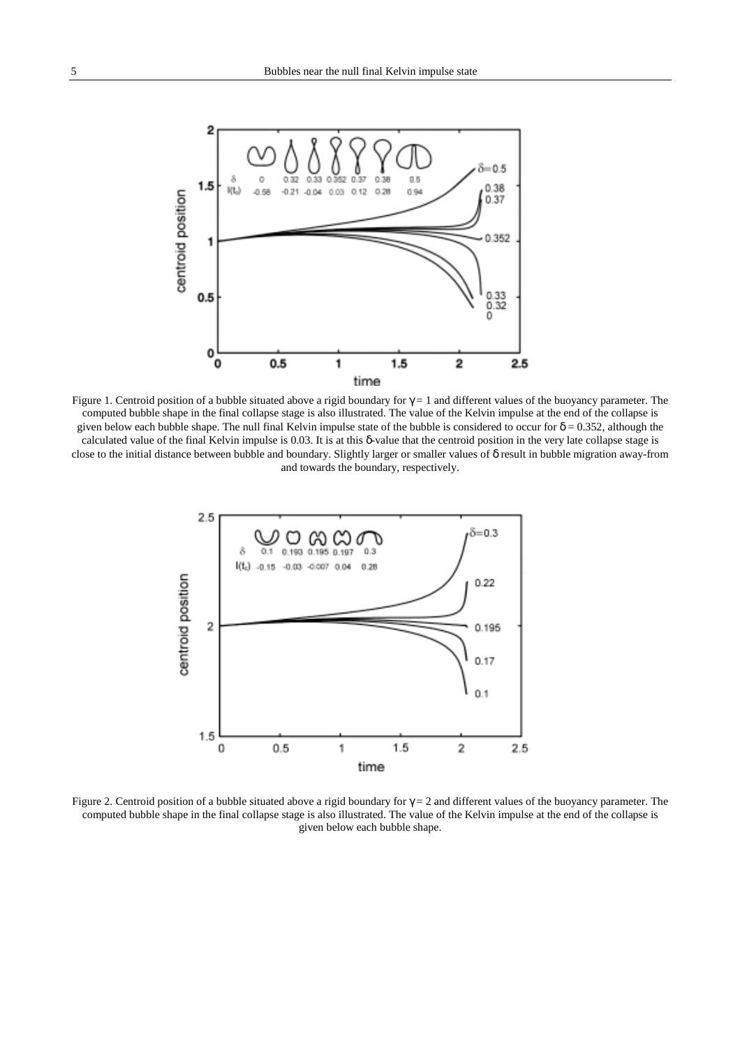

Figure 1. Centroid position of a bubble situated above a rigid boundary for  $\gamma = 1$  and different values of the buoyancy parameter. The computed bubble shape in the final collapse stage is also illustrated. The value of the Kelvin impulse at the end of the collapse is given below each bubble shape. The null final Kelvin impulse state of the bubble is considered to occur for  $\delta = 0.352$ , although the calculated value of the final Kelvin impulse is 0.03. It is at this δ-value that the centroid position in the very late collapse stage is close to the initial distance between bubble and boundary. Slightly larger or smaller values of δ result in bubble migration away-from and towards the boundary, respectively.



Figure 2. Centroid position of a bubble situated above a rigid boundary for  $\gamma = 2$  and different values of the buoyancy parameter. The computed bubble shape in the final collapse stage is also illustrated. The value of the Kelvin impulse at the end of the collapse is given below each bubble shape.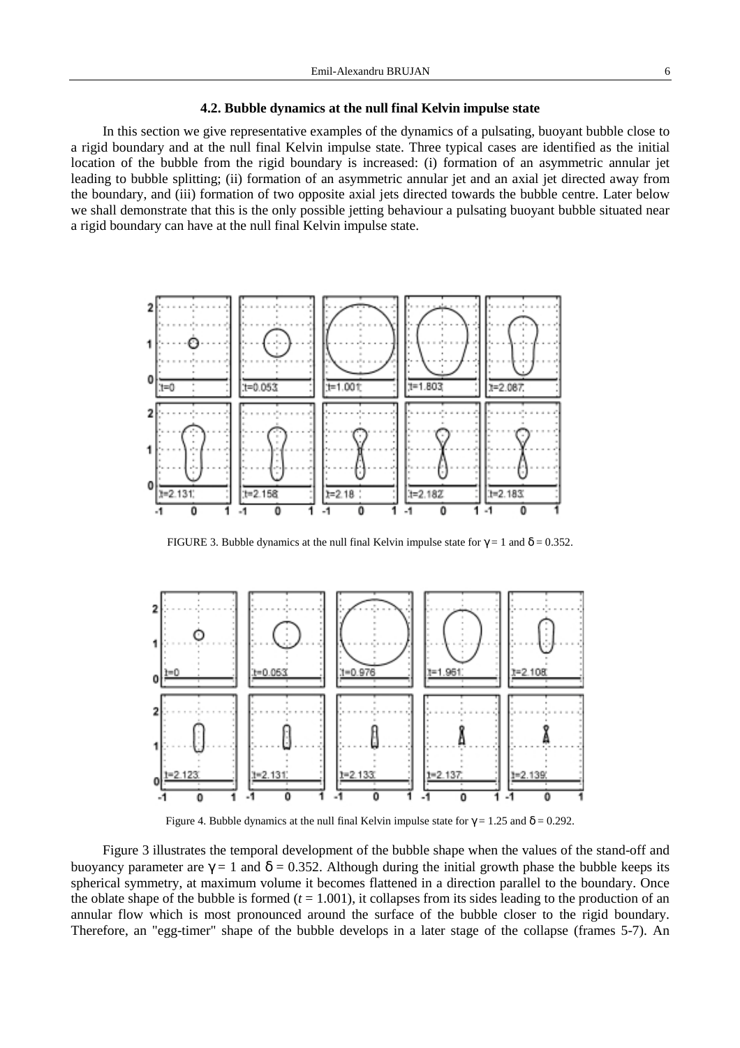In this section we give representative examples of the dynamics of a pulsating, buoyant bubble close to a rigid boundary and at the null final Kelvin impulse state. Three typical cases are identified as the initial location of the bubble from the rigid boundary is increased: (i) formation of an asymmetric annular jet leading to bubble splitting; (ii) formation of an asymmetric annular jet and an axial jet directed away from the boundary, and (iii) formation of two opposite axial jets directed towards the bubble centre. Later below we shall demonstrate that this is the only possible jetting behaviour a pulsating buoyant bubble situated near a rigid boundary can have at the null final Kelvin impulse state.



FIGURE 3. Bubble dynamics at the null final Kelvin impulse state for  $\gamma = 1$  and  $\delta = 0.352$ .



Figure 4. Bubble dynamics at the null final Kelvin impulse state for  $\gamma = 1.25$  and  $\delta = 0.292$ .

Figure 3 illustrates the temporal development of the bubble shape when the values of the stand-off and buoyancy parameter are  $\gamma = 1$  and  $\delta = 0.352$ . Although during the initial growth phase the bubble keeps its spherical symmetry, at maximum volume it becomes flattened in a direction parallel to the boundary. Once the oblate shape of the bubble is formed  $(t = 1.001)$ , it collapses from its sides leading to the production of an annular flow which is most pronounced around the surface of the bubble closer to the rigid boundary. Therefore, an "egg-timer" shape of the bubble develops in a later stage of the collapse (frames 5-7). An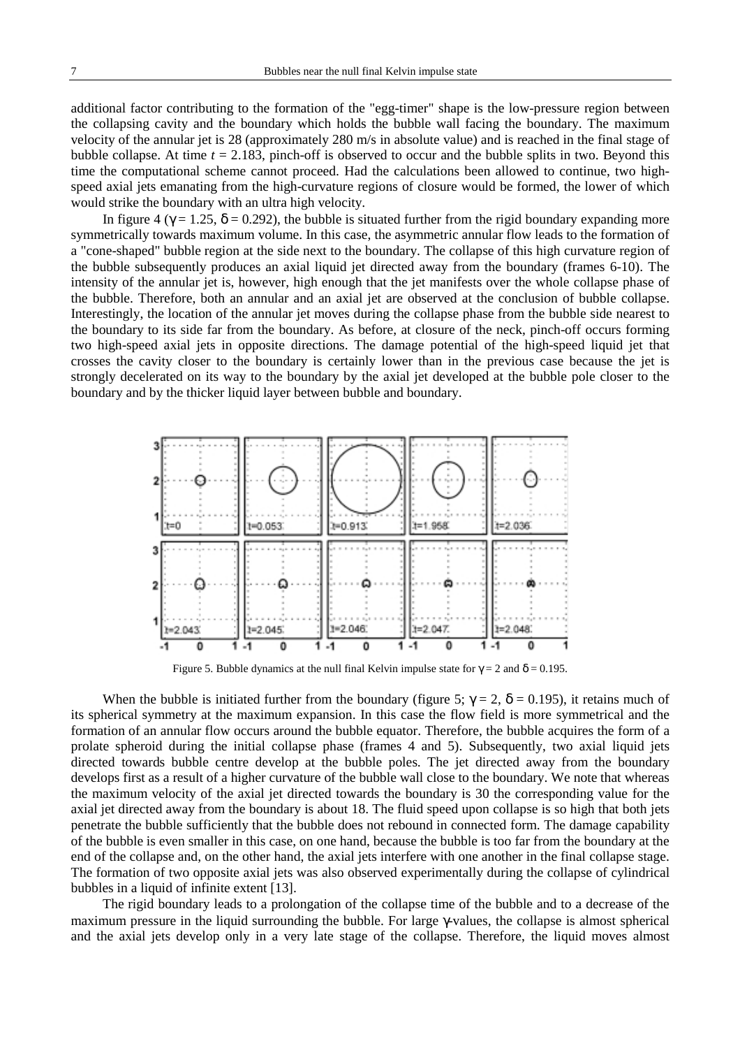additional factor contributing to the formation of the "egg-timer" shape is the low-pressure region between the collapsing cavity and the boundary which holds the bubble wall facing the boundary. The maximum velocity of the annular jet is 28 (approximately 280 m/s in absolute value) and is reached in the final stage of bubble collapse. At time *t* = 2.183, pinch-off is observed to occur and the bubble splits in two. Beyond this time the computational scheme cannot proceed. Had the calculations been allowed to continue, two highspeed axial jets emanating from the high-curvature regions of closure would be formed, the lower of which would strike the boundary with an ultra high velocity.

In figure 4 ( $\gamma = 1.25$ ,  $\delta = 0.292$ ), the bubble is situated further from the rigid boundary expanding more symmetrically towards maximum volume. In this case, the asymmetric annular flow leads to the formation of a "cone-shaped" bubble region at the side next to the boundary. The collapse of this high curvature region of the bubble subsequently produces an axial liquid jet directed away from the boundary (frames 6-10). The intensity of the annular jet is, however, high enough that the jet manifests over the whole collapse phase of the bubble. Therefore, both an annular and an axial jet are observed at the conclusion of bubble collapse. Interestingly, the location of the annular jet moves during the collapse phase from the bubble side nearest to the boundary to its side far from the boundary. As before, at closure of the neck, pinch-off occurs forming two high-speed axial jets in opposite directions. The damage potential of the high-speed liquid jet that crosses the cavity closer to the boundary is certainly lower than in the previous case because the jet is strongly decelerated on its way to the boundary by the axial jet developed at the bubble pole closer to the boundary and by the thicker liquid layer between bubble and boundary.



Figure 5. Bubble dynamics at the null final Kelvin impulse state for  $\gamma = 2$  and  $\delta = 0.195$ .

When the bubble is initiated further from the boundary (figure 5;  $\gamma = 2$ ,  $\delta = 0.195$ ), it retains much of its spherical symmetry at the maximum expansion. In this case the flow field is more symmetrical and the formation of an annular flow occurs around the bubble equator. Therefore, the bubble acquires the form of a prolate spheroid during the initial collapse phase (frames 4 and 5). Subsequently, two axial liquid jets directed towards bubble centre develop at the bubble poles. The jet directed away from the boundary develops first as a result of a higher curvature of the bubble wall close to the boundary. We note that whereas the maximum velocity of the axial jet directed towards the boundary is 30 the corresponding value for the axial jet directed away from the boundary is about 18. The fluid speed upon collapse is so high that both jets penetrate the bubble sufficiently that the bubble does not rebound in connected form. The damage capability of the bubble is even smaller in this case, on one hand, because the bubble is too far from the boundary at the end of the collapse and, on the other hand, the axial jets interfere with one another in the final collapse stage. The formation of two opposite axial jets was also observed experimentally during the collapse of cylindrical bubbles in a liquid of infinite extent [13].

The rigid boundary leads to a prolongation of the collapse time of the bubble and to a decrease of the maximum pressure in the liquid surrounding the bubble. For large γ-values, the collapse is almost spherical and the axial jets develop only in a very late stage of the collapse. Therefore, the liquid moves almost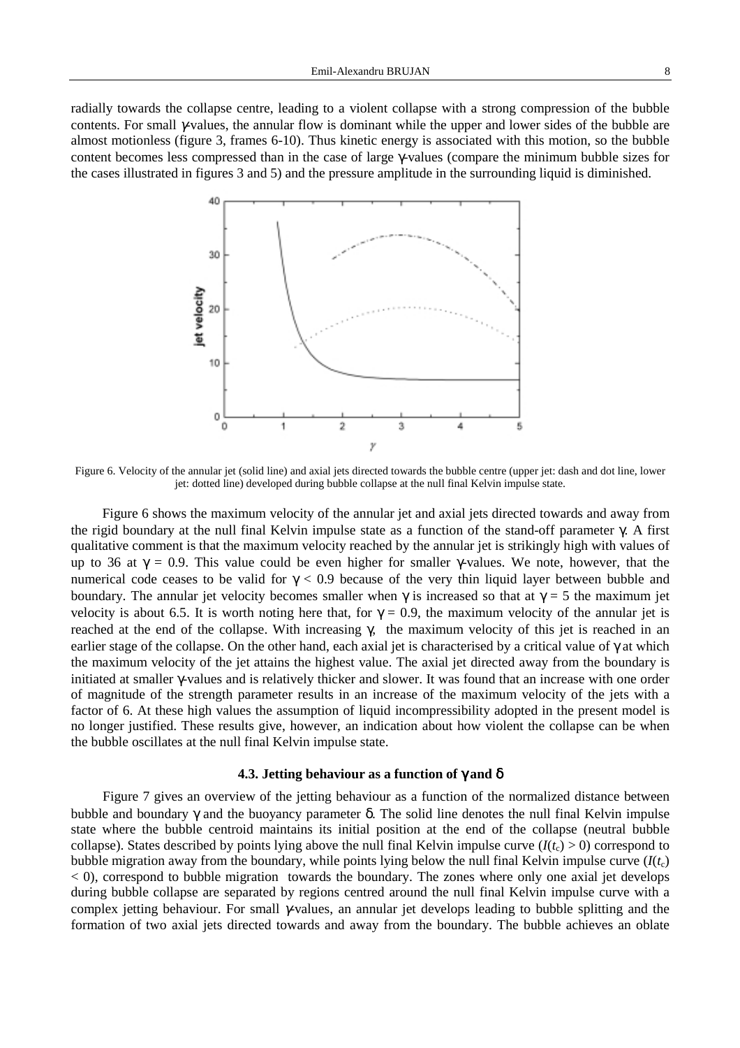radially towards the collapse centre, leading to a violent collapse with a strong compression of the bubble contents. For small γ-values, the annular flow is dominant while the upper and lower sides of the bubble are almost motionless (figure 3, frames 6-10). Thus kinetic energy is associated with this motion, so the bubble content becomes less compressed than in the case of large γ-values (compare the minimum bubble sizes for the cases illustrated in figures 3 and 5) and the pressure amplitude in the surrounding liquid is diminished.



Figure 6. Velocity of the annular jet (solid line) and axial jets directed towards the bubble centre (upper jet: dash and dot line, lower jet: dotted line) developed during bubble collapse at the null final Kelvin impulse state.

Figure 6 shows the maximum velocity of the annular jet and axial jets directed towards and away from the rigid boundary at the null final Kelvin impulse state as a function of the stand-off parameter γ. A first qualitative comment is that the maximum velocity reached by the annular jet is strikingly high with values of up to 36 at  $\gamma = 0.9$ . This value could be even higher for smaller γ-values. We note, however, that the numerical code ceases to be valid for  $γ < 0.9$  because of the very thin liquid layer between bubble and boundary. The annular jet velocity becomes smaller when  $\gamma$  is increased so that at  $\gamma = 5$  the maximum jet velocity is about 6.5. It is worth noting here that, for  $\gamma = 0.9$ , the maximum velocity of the annular jet is reached at the end of the collapse. With increasing γ, the maximum velocity of this jet is reached in an earlier stage of the collapse. On the other hand, each axial jet is characterised by a critical value of γ at which the maximum velocity of the jet attains the highest value. The axial jet directed away from the boundary is initiated at smaller γ-values and is relatively thicker and slower. It was found that an increase with one order of magnitude of the strength parameter results in an increase of the maximum velocity of the jets with a factor of 6. At these high values the assumption of liquid incompressibility adopted in the present model is no longer justified. These results give, however, an indication about how violent the collapse can be when the bubble oscillates at the null final Kelvin impulse state.

### **4.3. Jetting behaviour as a function of** γ **and** δ

Figure 7 gives an overview of the jetting behaviour as a function of the normalized distance between bubble and boundary γ and the buoyancy parameter δ. The solid line denotes the null final Kelvin impulse state where the bubble centroid maintains its initial position at the end of the collapse (neutral bubble collapse). States described by points lying above the null final Kelvin impulse curve  $(I(t_c) > 0)$  correspond to bubble migration away from the boundary, while points lying below the null final Kelvin impulse curve  $(I(t<sub>c</sub>)$ < 0), correspond to bubble migration towards the boundary. The zones where only one axial jet develops during bubble collapse are separated by regions centred around the null final Kelvin impulse curve with a complex jetting behaviour. For small γ-values, an annular jet develops leading to bubble splitting and the formation of two axial jets directed towards and away from the boundary. The bubble achieves an oblate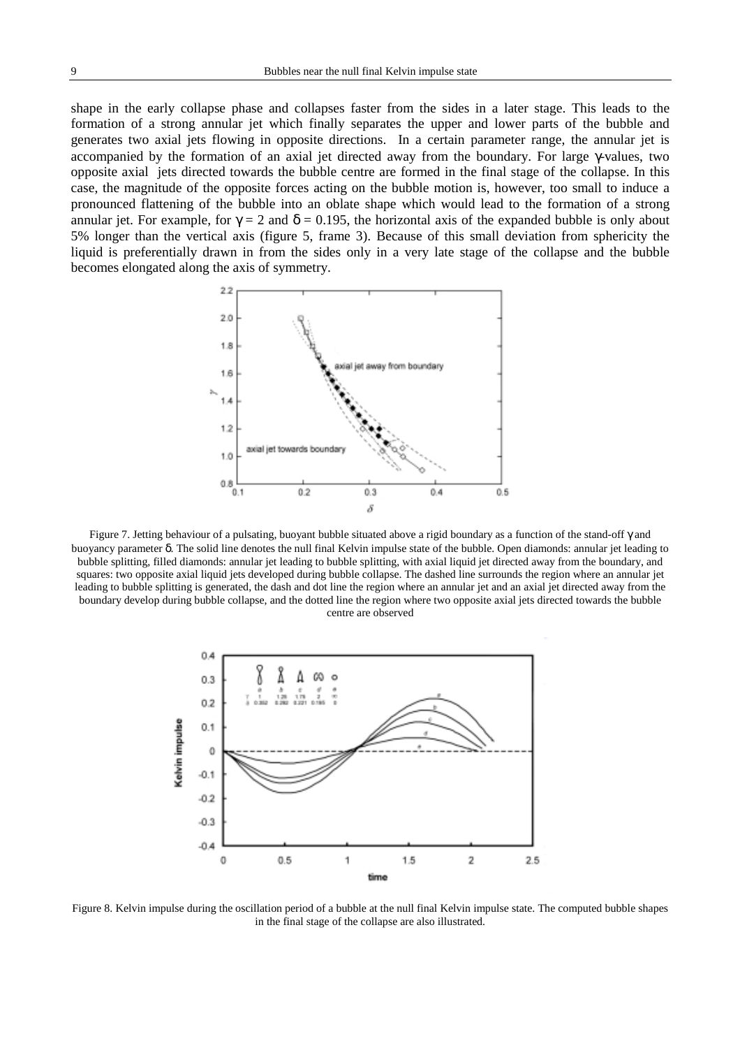shape in the early collapse phase and collapses faster from the sides in a later stage. This leads to the formation of a strong annular jet which finally separates the upper and lower parts of the bubble and generates two axial jets flowing in opposite directions. In a certain parameter range, the annular jet is accompanied by the formation of an axial jet directed away from the boundary. For large γ-values, two opposite axial jets directed towards the bubble centre are formed in the final stage of the collapse. In this case, the magnitude of the opposite forces acting on the bubble motion is, however, too small to induce a pronounced flattening of the bubble into an oblate shape which would lead to the formation of a strong annular jet. For example, for  $\gamma = 2$  and  $\delta = 0.195$ , the horizontal axis of the expanded bubble is only about 5% longer than the vertical axis (figure 5, frame 3). Because of this small deviation from sphericity the liquid is preferentially drawn in from the sides only in a very late stage of the collapse and the bubble becomes elongated along the axis of symmetry.



Figure 7. Jetting behaviour of a pulsating, buoyant bubble situated above a rigid boundary as a function of the stand-off γ and buoyancy parameter δ. The solid line denotes the null final Kelvin impulse state of the bubble. Open diamonds: annular jet leading to bubble splitting, filled diamonds: annular jet leading to bubble splitting, with axial liquid jet directed away from the boundary, and squares: two opposite axial liquid jets developed during bubble collapse. The dashed line surrounds the region where an annular jet leading to bubble splitting is generated, the dash and dot line the region where an annular jet and an axial jet directed away from the boundary develop during bubble collapse, and the dotted line the region where two opposite axial jets directed towards the bubble centre are observed



Figure 8. Kelvin impulse during the oscillation period of a bubble at the null final Kelvin impulse state. The computed bubble shapes in the final stage of the collapse are also illustrated.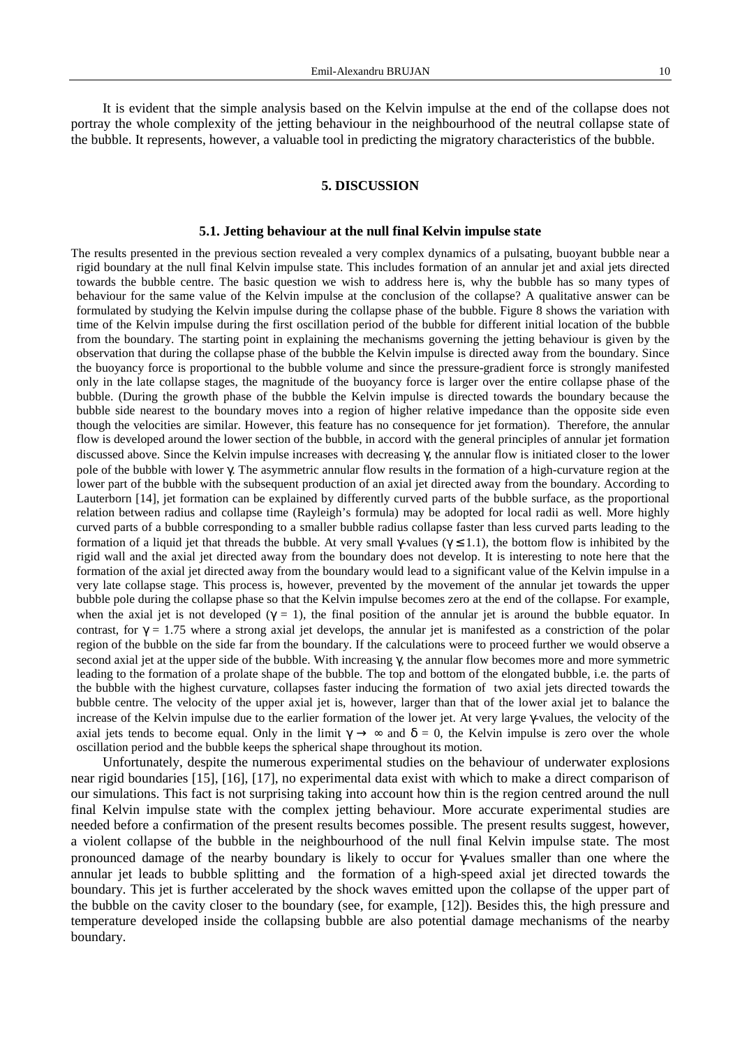It is evident that the simple analysis based on the Kelvin impulse at the end of the collapse does not portray the whole complexity of the jetting behaviour in the neighbourhood of the neutral collapse state of the bubble. It represents, however, a valuable tool in predicting the migratory characteristics of the bubble.

## **5. DISCUSSION**

#### **5.1. Jetting behaviour at the null final Kelvin impulse state**

The results presented in the previous section revealed a very complex dynamics of a pulsating, buoyant bubble near a rigid boundary at the null final Kelvin impulse state. This includes formation of an annular jet and axial jets directed towards the bubble centre. The basic question we wish to address here is, why the bubble has so many types of behaviour for the same value of the Kelvin impulse at the conclusion of the collapse? A qualitative answer can be formulated by studying the Kelvin impulse during the collapse phase of the bubble. Figure 8 shows the variation with time of the Kelvin impulse during the first oscillation period of the bubble for different initial location of the bubble from the boundary. The starting point in explaining the mechanisms governing the jetting behaviour is given by the observation that during the collapse phase of the bubble the Kelvin impulse is directed away from the boundary. Since the buoyancy force is proportional to the bubble volume and since the pressure-gradient force is strongly manifested only in the late collapse stages, the magnitude of the buoyancy force is larger over the entire collapse phase of the bubble. (During the growth phase of the bubble the Kelvin impulse is directed towards the boundary because the bubble side nearest to the boundary moves into a region of higher relative impedance than the opposite side even though the velocities are similar. However, this feature has no consequence for jet formation). Therefore, the annular flow is developed around the lower section of the bubble, in accord with the general principles of annular jet formation discussed above. Since the Kelvin impulse increases with decreasing γ, the annular flow is initiated closer to the lower pole of the bubble with lower γ. The asymmetric annular flow results in the formation of a high-curvature region at the lower part of the bubble with the subsequent production of an axial jet directed away from the boundary. According to Lauterborn [14], jet formation can be explained by differently curved parts of the bubble surface, as the proportional relation between radius and collapse time (Rayleigh's formula) may be adopted for local radii as well. More highly curved parts of a bubble corresponding to a smaller bubble radius collapse faster than less curved parts leading to the formation of a liquid jet that threads the bubble. At very small  $\gamma$ -values ( $\gamma \leq 1.1$ ), the bottom flow is inhibited by the rigid wall and the axial jet directed away from the boundary does not develop. It is interesting to note here that the formation of the axial jet directed away from the boundary would lead to a significant value of the Kelvin impulse in a very late collapse stage. This process is, however, prevented by the movement of the annular jet towards the upper bubble pole during the collapse phase so that the Kelvin impulse becomes zero at the end of the collapse. For example, when the axial jet is not developed ( $\gamma = 1$ ), the final position of the annular jet is around the bubble equator. In contrast, for  $\gamma = 1.75$  where a strong axial jet develops, the annular jet is manifested as a constriction of the polar region of the bubble on the side far from the boundary. If the calculations were to proceed further we would observe a second axial jet at the upper side of the bubble. With increasing γ, the annular flow becomes more and more symmetric leading to the formation of a prolate shape of the bubble. The top and bottom of the elongated bubble, i.e. the parts of the bubble with the highest curvature, collapses faster inducing the formation of two axial jets directed towards the bubble centre. The velocity of the upper axial jet is, however, larger than that of the lower axial jet to balance the increase of the Kelvin impulse due to the earlier formation of the lower jet. At very large γ-values, the velocity of the axial jets tends to become equal. Only in the limit  $\gamma \to \infty$  and  $\delta = 0$ , the Kelvin impulse is zero over the whole oscillation period and the bubble keeps the spherical shape throughout its motion.

Unfortunately, despite the numerous experimental studies on the behaviour of underwater explosions near rigid boundaries [15], [16], [17], no experimental data exist with which to make a direct comparison of our simulations. This fact is not surprising taking into account how thin is the region centred around the null final Kelvin impulse state with the complex jetting behaviour. More accurate experimental studies are needed before a confirmation of the present results becomes possible. The present results suggest, however, a violent collapse of the bubble in the neighbourhood of the null final Kelvin impulse state. The most pronounced damage of the nearby boundary is likely to occur for γ-values smaller than one where the annular jet leads to bubble splitting and the formation of a high-speed axial jet directed towards the boundary. This jet is further accelerated by the shock waves emitted upon the collapse of the upper part of the bubble on the cavity closer to the boundary (see, for example, [12]). Besides this, the high pressure and temperature developed inside the collapsing bubble are also potential damage mechanisms of the nearby boundary.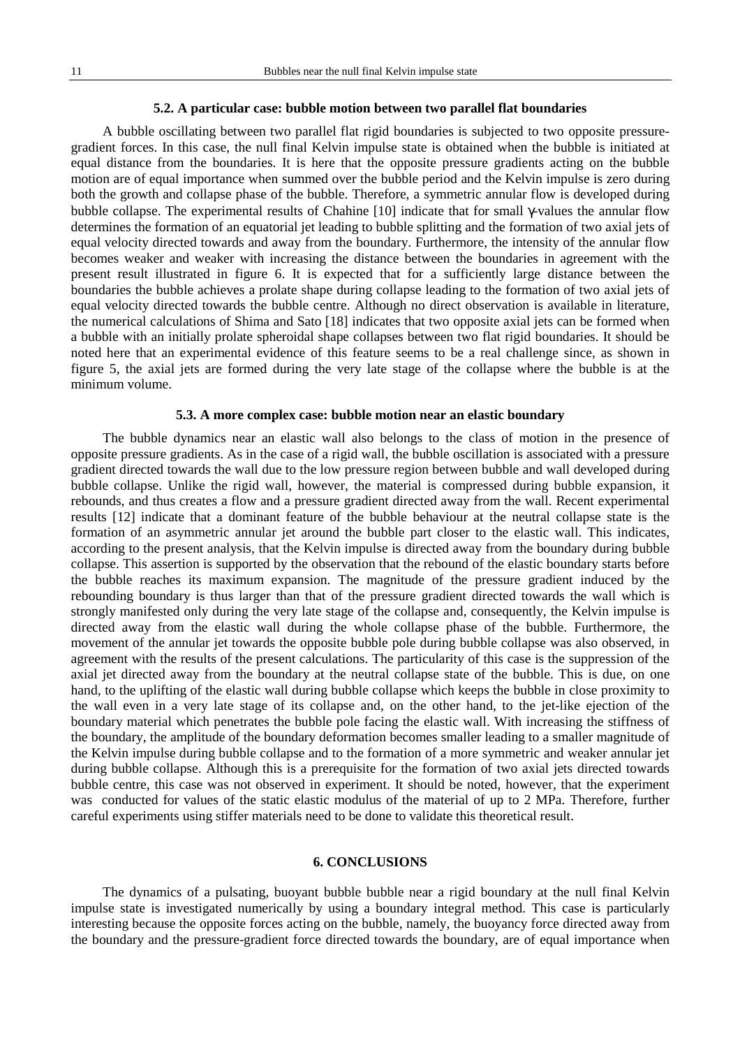## **5.2. A particular case: bubble motion between two parallel flat boundaries**

A bubble oscillating between two parallel flat rigid boundaries is subjected to two opposite pressuregradient forces. In this case, the null final Kelvin impulse state is obtained when the bubble is initiated at equal distance from the boundaries. It is here that the opposite pressure gradients acting on the bubble motion are of equal importance when summed over the bubble period and the Kelvin impulse is zero during both the growth and collapse phase of the bubble. Therefore, a symmetric annular flow is developed during bubble collapse. The experimental results of Chahine [10] indicate that for small γ-values the annular flow determines the formation of an equatorial jet leading to bubble splitting and the formation of two axial jets of equal velocity directed towards and away from the boundary. Furthermore, the intensity of the annular flow becomes weaker and weaker with increasing the distance between the boundaries in agreement with the present result illustrated in figure 6. It is expected that for a sufficiently large distance between the boundaries the bubble achieves a prolate shape during collapse leading to the formation of two axial jets of equal velocity directed towards the bubble centre. Although no direct observation is available in literature, the numerical calculations of Shima and Sato [18] indicates that two opposite axial jets can be formed when a bubble with an initially prolate spheroidal shape collapses between two flat rigid boundaries. It should be noted here that an experimental evidence of this feature seems to be a real challenge since, as shown in figure 5, the axial jets are formed during the very late stage of the collapse where the bubble is at the minimum volume.

# **5.3. A more complex case: bubble motion near an elastic boundary**

The bubble dynamics near an elastic wall also belongs to the class of motion in the presence of opposite pressure gradients. As in the case of a rigid wall, the bubble oscillation is associated with a pressure gradient directed towards the wall due to the low pressure region between bubble and wall developed during bubble collapse. Unlike the rigid wall, however, the material is compressed during bubble expansion, it rebounds, and thus creates a flow and a pressure gradient directed away from the wall. Recent experimental results [12] indicate that a dominant feature of the bubble behaviour at the neutral collapse state is the formation of an asymmetric annular jet around the bubble part closer to the elastic wall. This indicates, according to the present analysis, that the Kelvin impulse is directed away from the boundary during bubble collapse. This assertion is supported by the observation that the rebound of the elastic boundary starts before the bubble reaches its maximum expansion. The magnitude of the pressure gradient induced by the rebounding boundary is thus larger than that of the pressure gradient directed towards the wall which is strongly manifested only during the very late stage of the collapse and, consequently, the Kelvin impulse is directed away from the elastic wall during the whole collapse phase of the bubble. Furthermore, the movement of the annular jet towards the opposite bubble pole during bubble collapse was also observed, in agreement with the results of the present calculations. The particularity of this case is the suppression of the axial jet directed away from the boundary at the neutral collapse state of the bubble. This is due, on one hand, to the uplifting of the elastic wall during bubble collapse which keeps the bubble in close proximity to the wall even in a very late stage of its collapse and, on the other hand, to the jet-like ejection of the boundary material which penetrates the bubble pole facing the elastic wall. With increasing the stiffness of the boundary, the amplitude of the boundary deformation becomes smaller leading to a smaller magnitude of the Kelvin impulse during bubble collapse and to the formation of a more symmetric and weaker annular jet during bubble collapse. Although this is a prerequisite for the formation of two axial jets directed towards bubble centre, this case was not observed in experiment. It should be noted, however, that the experiment was conducted for values of the static elastic modulus of the material of up to 2 MPa. Therefore, further careful experiments using stiffer materials need to be done to validate this theoretical result.

### **6. CONCLUSIONS**

The dynamics of a pulsating, buoyant bubble bubble near a rigid boundary at the null final Kelvin impulse state is investigated numerically by using a boundary integral method. This case is particularly interesting because the opposite forces acting on the bubble, namely, the buoyancy force directed away from the boundary and the pressure-gradient force directed towards the boundary, are of equal importance when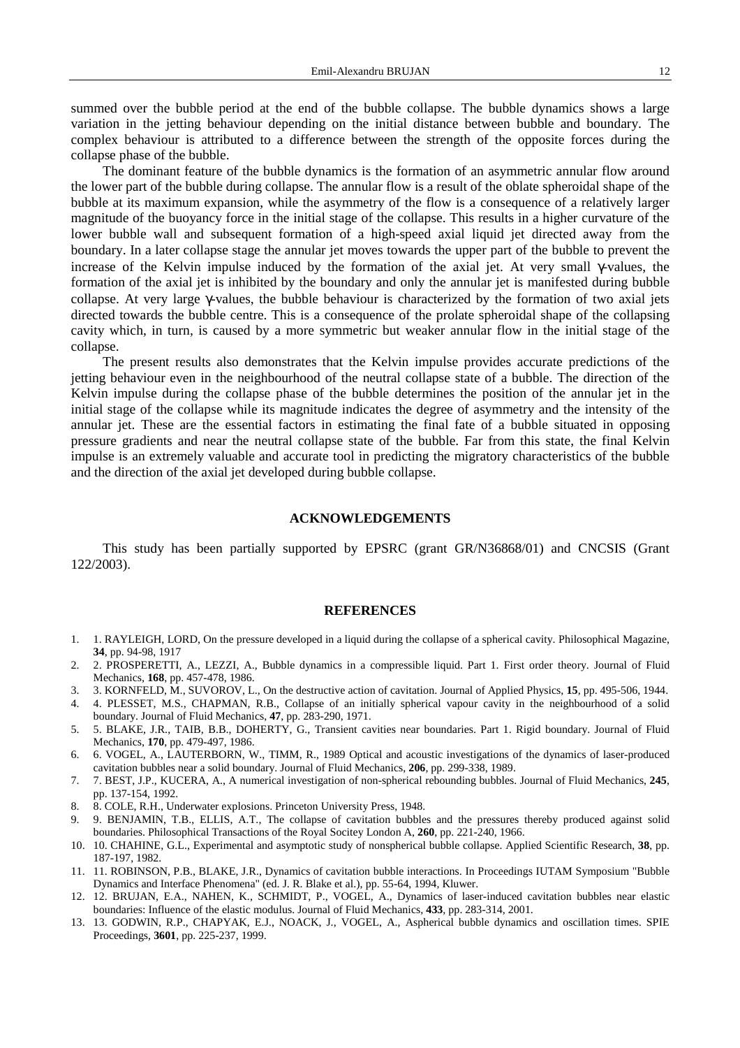summed over the bubble period at the end of the bubble collapse. The bubble dynamics shows a large variation in the jetting behaviour depending on the initial distance between bubble and boundary. The complex behaviour is attributed to a difference between the strength of the opposite forces during the collapse phase of the bubble.

The dominant feature of the bubble dynamics is the formation of an asymmetric annular flow around the lower part of the bubble during collapse. The annular flow is a result of the oblate spheroidal shape of the bubble at its maximum expansion, while the asymmetry of the flow is a consequence of a relatively larger magnitude of the buoyancy force in the initial stage of the collapse. This results in a higher curvature of the lower bubble wall and subsequent formation of a high-speed axial liquid jet directed away from the boundary. In a later collapse stage the annular jet moves towards the upper part of the bubble to prevent the increase of the Kelvin impulse induced by the formation of the axial jet. At very small γ-values, the formation of the axial jet is inhibited by the boundary and only the annular jet is manifested during bubble collapse. At very large γ-values, the bubble behaviour is characterized by the formation of two axial jets directed towards the bubble centre. This is a consequence of the prolate spheroidal shape of the collapsing cavity which, in turn, is caused by a more symmetric but weaker annular flow in the initial stage of the collapse.

The present results also demonstrates that the Kelvin impulse provides accurate predictions of the jetting behaviour even in the neighbourhood of the neutral collapse state of a bubble. The direction of the Kelvin impulse during the collapse phase of the bubble determines the position of the annular jet in the initial stage of the collapse while its magnitude indicates the degree of asymmetry and the intensity of the annular jet. These are the essential factors in estimating the final fate of a bubble situated in opposing pressure gradients and near the neutral collapse state of the bubble. Far from this state, the final Kelvin impulse is an extremely valuable and accurate tool in predicting the migratory characteristics of the bubble and the direction of the axial jet developed during bubble collapse.

### **ACKNOWLEDGEMENTS**

This study has been partially supported by EPSRC (grant GR/N36868/01) and CNCSIS (Grant 122/2003).

#### **REFERENCES**

- 1. 1. RAYLEIGH, LORD, On the pressure developed in a liquid during the collapse of a spherical cavity. Philosophical Magazine, **34**, pp. 94-98, 1917
- 2. 2. PROSPERETTI, A., LEZZI, A., Bubble dynamics in a compressible liquid. Part 1. First order theory. Journal of Fluid Mechanics, **168**, pp. 457-478, 1986.
- 3. 3. KORNFELD, M., SUVOROV, L., On the destructive action of cavitation. Journal of Applied Physics, **15**, pp. 495-506, 1944.
- 4. 4. PLESSET, M.S., CHAPMAN, R.B., Collapse of an initially spherical vapour cavity in the neighbourhood of a solid boundary. Journal of Fluid Mechanics, **47**, pp. 283-290, 1971.
- 5. 5. BLAKE, J.R., TAIB, B.B., DOHERTY, G., Transient cavities near boundaries. Part 1. Rigid boundary. Journal of Fluid Mechanics, **170**, pp. 479-497, 1986.
- 6. 6. VOGEL, A., LAUTERBORN, W., TIMM, R., 1989 Optical and acoustic investigations of the dynamics of laser-produced cavitation bubbles near a solid boundary. Journal of Fluid Mechanics, **206**, pp. 299-338, 1989.
- 7. 7. BEST, J.P., KUCERA, A., A numerical investigation of non-spherical rebounding bubbles. Journal of Fluid Mechanics, **245**, pp. 137-154, 1992.
- 8. 8. COLE, R.H., Underwater explosions. Princeton University Press, 1948.
- 9. 9. BENJAMIN, T.B., ELLIS, A.T., The collapse of cavitation bubbles and the pressures thereby produced against solid boundaries. Philosophical Transactions of the Royal Socitey London A, **260**, pp. 221-240, 1966.
- 10. 10. CHAHINE, G.L., Experimental and asymptotic study of nonspherical bubble collapse. Applied Scientific Research, **38**, pp. 187-197, 1982.
- 11. 11. ROBINSON, P.B., BLAKE, J.R., Dynamics of cavitation bubble interactions. In Proceedings IUTAM Symposium "Bubble Dynamics and Interface Phenomena" (ed. J. R. Blake et al.), pp. 55-64, 1994, Kluwer.
- 12. 12. BRUJAN, E.A., NAHEN, K., SCHMIDT, P., VOGEL, A., Dynamics of laser-induced cavitation bubbles near elastic boundaries: Influence of the elastic modulus. Journal of Fluid Mechanics, **433**, pp. 283-314, 2001.
- 13. 13. GODWIN, R.P., CHAPYAK, E.J., NOACK, J., VOGEL, A., Aspherical bubble dynamics and oscillation times. SPIE Proceedings, **3601**, pp. 225-237, 1999.